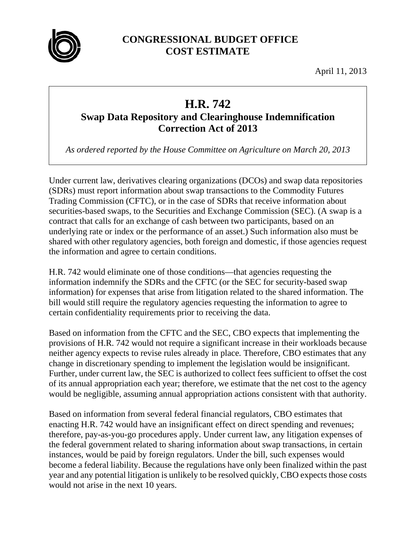

## **CONGRESSIONAL BUDGET OFFICE COST ESTIMATE**

April 11, 2013

## **H.R. 742**

## **Swap Data Repository and Clearinghouse Indemnification Correction Act of 2013**

*As ordered reported by the House Committee on Agriculture on March 20, 2013* 

Under current law, derivatives clearing organizations (DCOs) and swap data repositories (SDRs) must report information about swap transactions to the Commodity Futures Trading Commission (CFTC), or in the case of SDRs that receive information about securities-based swaps, to the Securities and Exchange Commission (SEC). (A swap is a contract that calls for an exchange of cash between two participants, based on an underlying rate or index or the performance of an asset.) Such information also must be shared with other regulatory agencies, both foreign and domestic, if those agencies request the information and agree to certain conditions.

H.R. 742 would eliminate one of those conditions—that agencies requesting the information indemnify the SDRs and the CFTC (or the SEC for security-based swap information) for expenses that arise from litigation related to the shared information. The bill would still require the regulatory agencies requesting the information to agree to certain confidentiality requirements prior to receiving the data.

Based on information from the CFTC and the SEC, CBO expects that implementing the provisions of H.R. 742 would not require a significant increase in their workloads because neither agency expects to revise rules already in place*.* Therefore, CBO estimates that any change in discretionary spending to implement the legislation would be insignificant. Further, under current law, the SEC is authorized to collect fees sufficient to offset the cost of its annual appropriation each year; therefore, we estimate that the net cost to the agency would be negligible, assuming annual appropriation actions consistent with that authority.

Based on information from several federal financial regulators, CBO estimates that enacting H.R. 742 would have an insignificant effect on direct spending and revenues; therefore, pay-as-you-go procedures apply. Under current law, any litigation expenses of the federal government related to sharing information about swap transactions, in certain instances, would be paid by foreign regulators. Under the bill, such expenses would become a federal liability. Because the regulations have only been finalized within the past year and any potential litigation is unlikely to be resolved quickly, CBO expects those costs would not arise in the next 10 years.